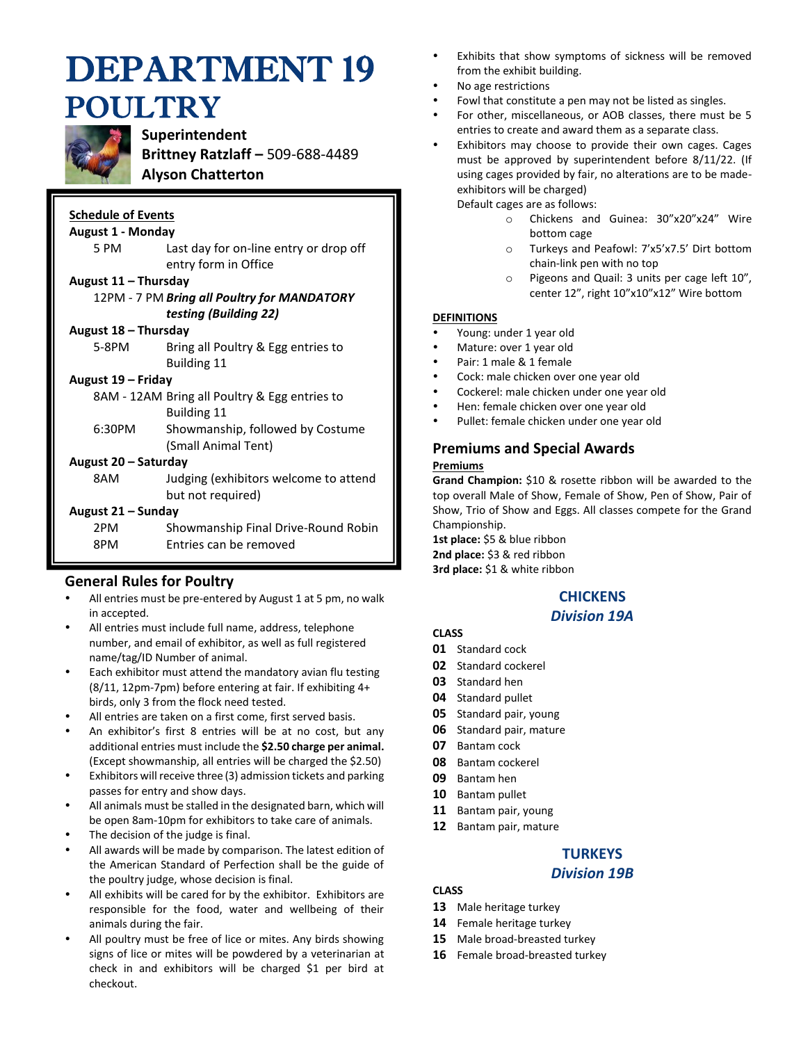# DEPARTMENT 19 POULTRY



# **Superintendent**

**Brittney Ratzlaff –** 509-688-4489

## **Alyson Chatterton**

## **Schedule of Events**

#### **August 1 - Monday**

5 PM Last day for on-line entry or drop off entry form in Office

#### **August 11 – Thursday**

#### 12PM - 7 PM *Bring all Poultry for MANDATORY testing (Building 22)*

#### **August 18 – Thursday**

5-8PM Bring all Poultry & Egg entries to Building 11

#### **August 19 – Friday**

8AM - 12AM Bring all Poultry & Egg entries to Building 11

6:30PM Showmanship, followed by Costume (Small Animal Tent)

#### **August 20 – Saturday**

8AM Judging (exhibitors welcome to attend but not required)

#### **August 21 – Sunday**

| 2PM | Showmanship Final Drive-Round Robin |
|-----|-------------------------------------|
| 8PM | Entries can be removed              |

# **General Rules for Poultry**

- All entries must be pre-entered by August 1 at 5 pm, no walk in accepted.
- All entries must include full name, address, telephone number, and email of exhibitor, as well as full registered name/tag/ID Number of animal.
- Each exhibitor must attend the mandatory avian flu testing (8/11, 12pm-7pm) before entering at fair. If exhibiting 4+ birds, only 3 from the flock need tested.
- All entries are taken on a first come, first served basis.
- An exhibitor's first 8 entries will be at no cost, but any additional entries must include the **\$2.50 charge per animal.** (Except showmanship, all entries will be charged the \$2.50)
- Exhibitors will receive three (3) admission tickets and parking passes for entry and show days.
- All animals must be stalled in the designated barn, which will be open 8am-10pm for exhibitors to take care of animals.
- The decision of the judge is final.
- All awards will be made by comparison. The latest edition of the American Standard of Perfection shall be the guide of the poultry judge, whose decision is final.
- All exhibits will be cared for by the exhibitor. Exhibitors are responsible for the food, water and wellbeing of their animals during the fair.
- All poultry must be free of lice or mites. Any birds showing signs of lice or mites will be powdered by a veterinarian at check in and exhibitors will be charged \$1 per bird at checkout.
- Exhibits that show symptoms of sickness will be removed from the exhibit building.
- No age restrictions
- Fowl that constitute a pen may not be listed as singles.
- For other, miscellaneous, or AOB classes, there must be 5 entries to create and award them as a separate class.
- Exhibitors may choose to provide their own cages. Cages must be approved by superintendent before 8/11/22. (If using cages provided by fair, no alterations are to be madeexhibitors will be charged)

Default cages are as follows:

- o Chickens and Guinea: 30"x20"x24" Wire bottom cage
- o Turkeys and Peafowl: 7'x5'x7.5' Dirt bottom chain-link pen with no top
- o Pigeons and Quail: 3 units per cage left 10", center 12", right 10"x10"x12" Wire bottom

#### **DEFINITIONS**

- Young: under 1 year old
- Mature: over 1 year old
- Pair: 1 male & 1 female
- Cock: male chicken over one year old
- Cockerel: male chicken under one year old
- Hen: female chicken over one year old
- Pullet: female chicken under one year old

# **Premiums and Special Awards**

#### **Premiums**

**Grand Champion:** \$10 & rosette ribbon will be awarded to the top overall Male of Show, Female of Show, Pen of Show, Pair of Show, Trio of Show and Eggs. All classes compete for the Grand Championship.

**1st place:** \$5 & blue ribbon **2nd place:** \$3 & red ribbon **3rd place:** \$1 & white ribbon

# **CHICKENS**

## *Division 19A*

## **CLASS**

- **01** Standard cock
- **02** Standard cockerel
- **03** Standard hen
- **04** Standard pullet
- **05** Standard pair, young
- **06** Standard pair, mature
- **07** Bantam cock
- **08** Bantam cockerel
- **09** Bantam hen
- **10** Bantam pullet
- **11** Bantam pair, young
- **12** Bantam pair, mature

# **TURKEYS**

#### *Division 19B*

# **CLASS**

- **13** Male heritage turkey
- **14** Female heritage turkey
- **15** Male broad-breasted turkey
- **16** Female broad-breasted turkey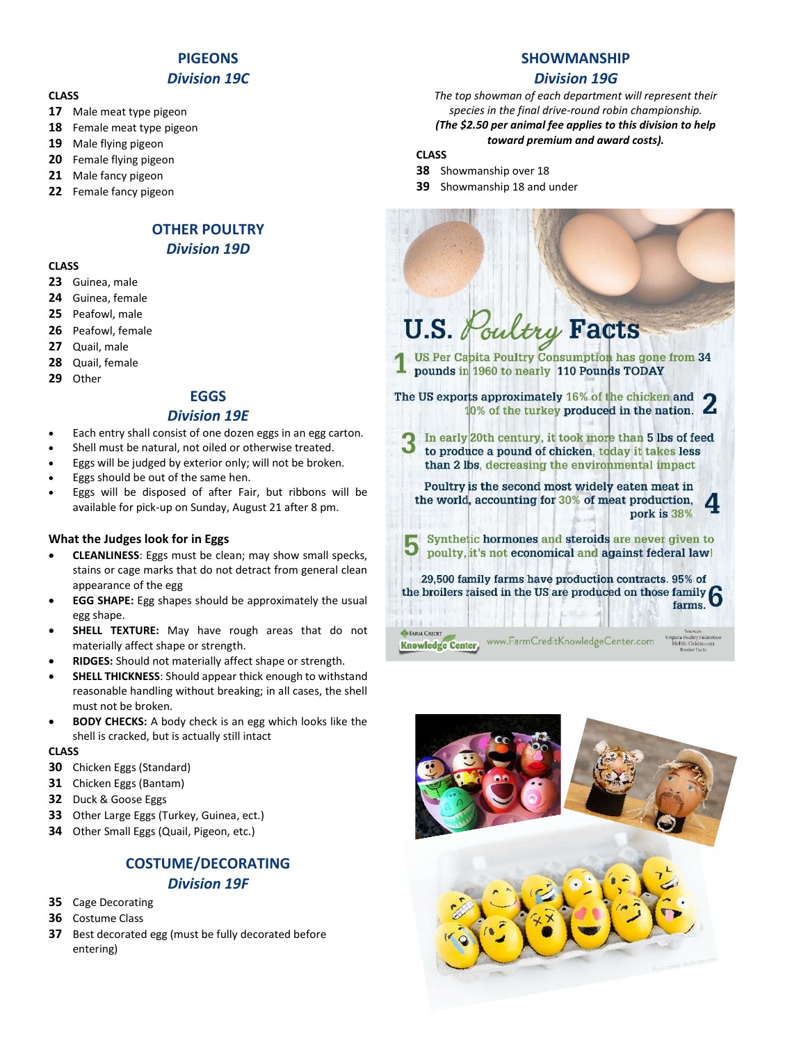## **PIGEONS**

#### *Division 19C*

#### **CLASS**

- **17** Male meat type pigeon
- **18** Female meat type pigeon
- **19** Male flying pigeon
- **20** Female flying pigeon
- **21** Male fancy pigeon
- **22** Female fancy pigeon

# **OTHER POULTRY** *Division 19D*

#### **CLASS**

- **23** Guinea, male
- **24** Guinea, female
- **25** Peafowl, male
- **26** Peafowl, female
- **27** Quail, male
- **28** Quail, female
- **29** Other

#### **EGGS**

#### *Division 19E*

- Each entry shall consist of one dozen eggs in an egg carton.
- Shell must be natural, not oiled or otherwise treated.
- Eggs will be judged by exterior only; will not be broken.
- Eggs should be out of the same hen.
- Eggs will be disposed of after Fair, but ribbons will be available for pick-up on Sunday, August 21 after 8 pm.

#### **What the Judges look for in Eggs**

- **CLEANLINESS**: Eggs must be clean; may show small specks, stains or cage marks that do not detract from general clean appearance of the egg
- **EGG SHAPE:** Egg shapes should be approximately the usual egg shape.
- **SHELL TEXTURE:** May have rough areas that do not materially affect shape or strength.
- **RIDGES:** Should not materially affect shape or strength.
- **SHELL THICKNESS:** Should appear thick enough to withstand reasonable handling without breaking; in all cases, the shell must not be broken.
- **BODY CHECKS:** A body check is an egg which looks like the shell is cracked, but is actually still intact

#### **CLASS**

- **30** Chicken Eggs (Standard)
- **31** Chicken Eggs (Bantam)
- **32** Duck & Goose Eggs
- **33** Other Large Eggs (Turkey, Guinea, ect.)
- **34** Other Small Eggs (Quail, Pigeon, etc.)

## **COSTUME/DECORATING** *Division 19F*

- **35** Cage Decorating
- **36** Costume Class
- **37** Best decorated egg (must be fully decorated before entering)

# **SHOWMANSHIP**

## *Division 19G*

*The top showman of each department will represent their species in the final drive-round robin championship.*

#### *(The \$2.50 per animal fee applies to this division to help toward premium and award costs).*

# **CLASS**

- **38** Showmanship over 18
- **39** Showmanship 18 and under

# oultry Facts U.S.

US Per Capita Poultry Consumption has gone from 34 pounds in 1960 to nearly 110 Pounds TODAY

The US exports approximately 16% of the chicken and 10% of the turkey produced in the nation.

In early 20th century, it took more than 5 lbs of feed to produce a pound of chicken, today it takes less than 2 lbs, decreasing the environmental impact

Poultry is the second most widely eaten meat in the world, accounting for 30% of meat production, pork is 38%

Synthetic hormones and steroids are never given to poulty, it's not economical and against federal law!

29,500 family farms have production contracts. 95% of 29,500 ramily farms have production contracts. 95% of<br>the broilers raised in the US are produced on those family<br> $f_{\text{arms}}$ farms.

www.FarmCreditKnowledgeCenter.com

**EARM CREDIT Knowledge Center**